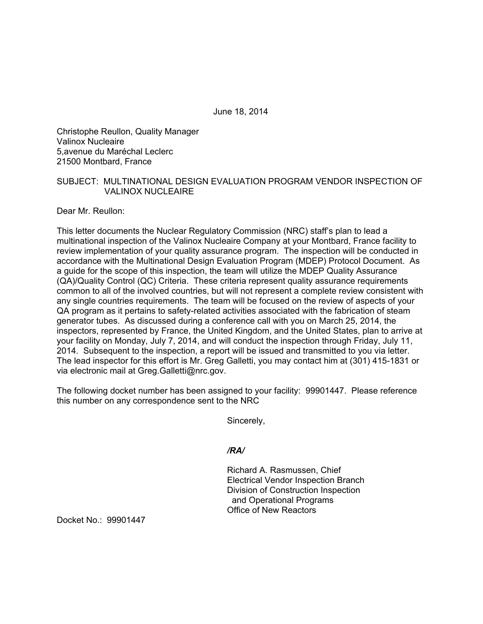June 18, 2014

Christophe Reullon, Quality Manager Valinox Nucleaire 5,avenue du Maréchal Leclerc 21500 Montbard, France

## SUBJECT: MULTINATIONAL DESIGN EVALUATION PROGRAM VENDOR INSPECTION OF VALINOX NUCLEAIRE

Dear Mr. Reullon:

This letter documents the Nuclear Regulatory Commission (NRC) staff's plan to lead a multinational inspection of the Valinox Nucleaire Company at your Montbard, France facility to review implementation of your quality assurance program. The inspection will be conducted in accordance with the Multinational Design Evaluation Program (MDEP) Protocol Document. As a guide for the scope of this inspection, the team will utilize the MDEP Quality Assurance (QA)/Quality Control (QC) Criteria. These criteria represent quality assurance requirements common to all of the involved countries, but will not represent a complete review consistent with any single countries requirements. The team will be focused on the review of aspects of your QA program as it pertains to safety-related activities associated with the fabrication of steam generator tubes. As discussed during a conference call with you on March 25, 2014, the inspectors, represented by France, the United Kingdom, and the United States, plan to arrive at your facility on Monday, July 7, 2014, and will conduct the inspection through Friday, July 11, 2014. Subsequent to the inspection, a report will be issued and transmitted to you via letter. The lead inspector for this effort is Mr. Greg Galletti, you may contact him at (301) 415-1831 or via electronic mail at Greg.Galletti@nrc.gov.

The following docket number has been assigned to your facility: 99901447. Please reference this number on any correspondence sent to the NRC

Sincerely,

## */RA/*

Richard A. Rasmussen, Chief Electrical Vendor Inspection Branch Division of Construction Inspection and Operational Programs Office of New Reactors

Docket No.: 99901447